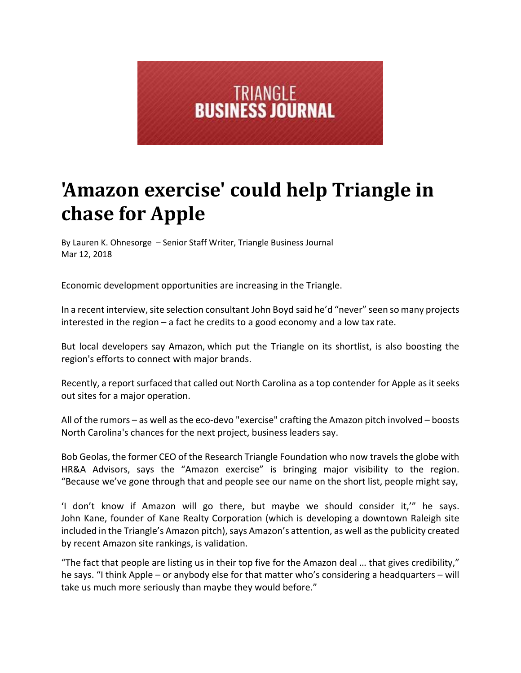

## **'Amazon exercise' could help Triangle in chase for Apple**

By Lauren K. Ohnesorge – Senior Staff Writer, Triangle Business Journal Mar 12, 2018

Economic development opportunities are increasing in the Triangle.

In a recent interview, site selection consultant John Boyd said he'd "never" seen so many projects interested in the region – a fact he credits to a good economy and a low tax rate.

But local developers say Amazon, which put the Triangle on its shortlist, is also boosting the region's efforts to connect with major brands.

Recently, a report surfaced that called out North Carolina as a top contender for Apple as it seeks out sites for a major operation.

All of the rumors – as well as the eco-devo "exercise" crafting the Amazon pitch involved – boosts North Carolina's chances for the next project, business leaders say.

Bob Geolas, the former CEO of the Research Triangle Foundation who now travels the globe with HR&A Advisors, says the "Amazon exercise" is bringing major visibility to the region. "Because we've gone through that and people see our name on the short list, people might say,

'I don't know if Amazon will go there, but maybe we should consider it,'" he says. John Kane, founder of Kane Realty Corporation (which is developing a downtown Raleigh site included in the Triangle's Amazon pitch), says Amazon's attention, as well as the publicity created by recent Amazon site rankings, is validation.

"The fact that people are listing us in their top five for the Amazon deal … that gives credibility," he says. "I think Apple – or anybody else for that matter who's considering a headquarters – will take us much more seriously than maybe they would before."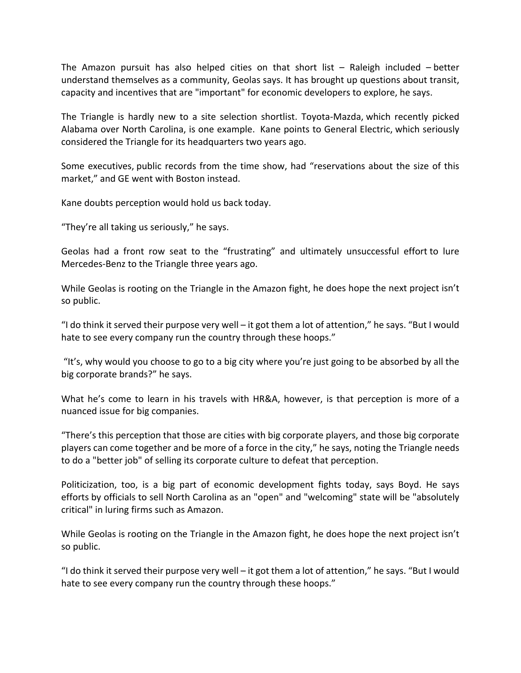The Amazon pursuit has also helped cities on that short list  $-$  Raleigh included  $-$  better understand themselves as a community, Geolas says. It has brought up questions about transit, capacity and incentives that are "important" for economic developers to explore, he says.

The Triangle is hardly new to a site selection shortlist. Toyota‐Mazda, which recently picked Alabama over North Carolina, is one example. Kane points to General Electric, which seriously considered the Triangle for its headquarters two years ago.

Some executives, public records from the time show, had "reservations about the size of this market," and GE went with Boston instead.

Kane doubts perception would hold us back today.

"They're all taking us seriously," he says.

Geolas had a front row seat to the "frustrating" and ultimately unsuccessful effort to lure Mercedes‐Benz to the Triangle three years ago.

While Geolas is rooting on the Triangle in the Amazon fight, he does hope the next project isn't so public.

"I do think it served their purpose very well – it got them a lot of attention," he says. "But I would hate to see every company run the country through these hoops."

"It's, why would you choose to go to a big city where you're just going to be absorbed by all the big corporate brands?" he says.

What he's come to learn in his travels with HR&A, however, is that perception is more of a nuanced issue for big companies.

"There's this perception that those are cities with big corporate players, and those big corporate players can come together and be more of a force in the city," he says, noting the Triangle needs to do a "better job" of selling its corporate culture to defeat that perception.

Politicization, too, is a big part of economic development fights today, says Boyd. He says efforts by officials to sell North Carolina as an "open" and "welcoming" state will be "absolutely critical" in luring firms such as Amazon.

While Geolas is rooting on the Triangle in the Amazon fight, he does hope the next project isn't so public.

"I do think it served their purpose very well – it got them a lot of attention," he says. "But I would hate to see every company run the country through these hoops."